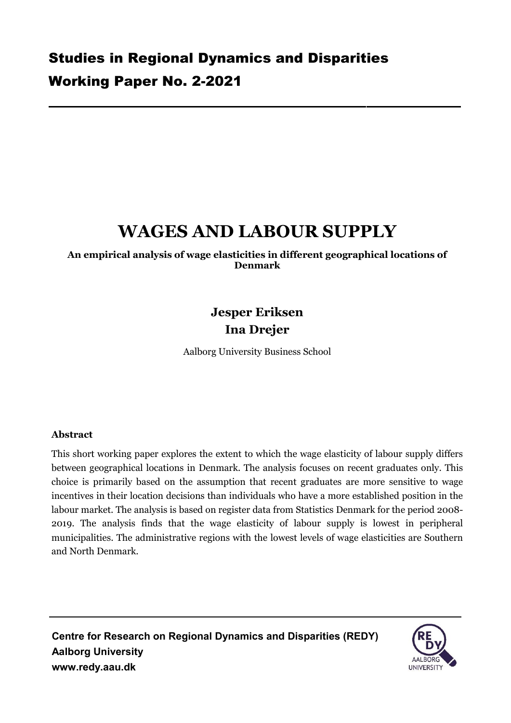# **WAGES AND LABOUR SUPPLY**

**An empirical analysis of wage elasticities in different geographical locations of Denmark**

# **Jesper Eriksen Ina Drejer**

Aalborg University Business School

## **Abstract**

This short working paper explores the extent to which the wage elasticity of labour supply differs between geographical locations in Denmark. The analysis focuses on recent graduates only. This choice is primarily based on the assumption that recent graduates are more sensitive to wage incentives in their location decisions than individuals who have a more established position in the labour market. The analysis is based on register data from Statistics Denmark for the period 2008- 2019. The analysis finds that the wage elasticity of labour supply is lowest in peripheral municipalities. The administrative regions with the lowest levels of wage elasticities are Southern and North Denmark.

**Centre for Research on Regional Dynamics and Disparities (REDY) Aalborg University [www.redy.aau.dk](http://www.redy.aau.dk/)**

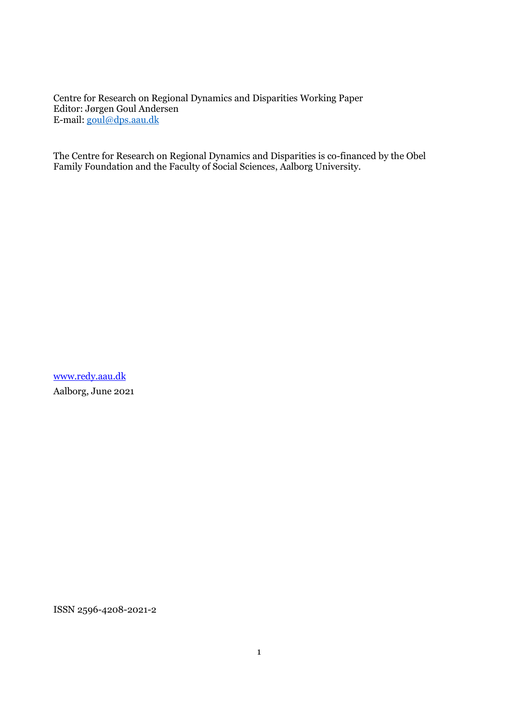Centre for Research on Regional Dynamics and Disparities Working Paper Editor: Jørgen Goul Andersen E-mail: [goul@dps.aau.dk](mailto:goul@dps.aau.dk)

The Centre for Research on Regional Dynamics and Disparities is co-financed by the Obel Family Foundation and the Faculty of Social Sciences, Aalborg University.

[www.redy.aau.dk](http://www.redy.aau.dk/) Aalborg, June 2021

ISSN 2596-4208-2021-2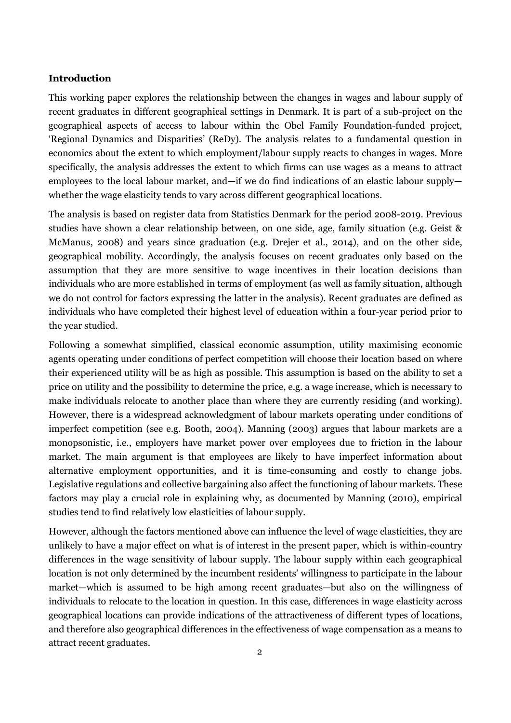#### **Introduction**

This working paper explores the relationship between the changes in wages and labour supply of recent graduates in different geographical settings in Denmark. It is part of a sub-project on the geographical aspects of access to labour within the Obel Family Foundation-funded project, 'Regional Dynamics and Disparities' (ReDy). The analysis relates to a fundamental question in economics about the extent to which employment/labour supply reacts to changes in wages. More specifically, the analysis addresses the extent to which firms can use wages as a means to attract employees to the local labour market, and—if we do find indications of an elastic labour supply whether the wage elasticity tends to vary across different geographical locations.

The analysis is based on register data from Statistics Denmark for the period 2008-2019. Previous studies have shown a clear relationship between, on one side, age, family situation (e.g. Geist & McManus, 2008) and years since graduation (e.g. Drejer et al., 2014), and on the other side, geographical mobility. Accordingly, the analysis focuses on recent graduates only based on the assumption that they are more sensitive to wage incentives in their location decisions than individuals who are more established in terms of employment (as well as family situation, although we do not control for factors expressing the latter in the analysis). Recent graduates are defined as individuals who have completed their highest level of education within a four-year period prior to the year studied.

Following a somewhat simplified, classical economic assumption, utility maximising economic agents operating under conditions of perfect competition will choose their location based on where their experienced utility will be as high as possible. This assumption is based on the ability to set a price on utility and the possibility to determine the price, e.g. a wage increase, which is necessary to make individuals relocate to another place than where they are currently residing (and working). However, there is a widespread acknowledgment of labour markets operating under conditions of imperfect competition (see e.g. Booth, 2004). Manning (2003) argues that labour markets are a monopsonistic, i.e., employers have market power over employees due to friction in the labour market. The main argument is that employees are likely to have imperfect information about alternative employment opportunities, and it is time-consuming and costly to change jobs. Legislative regulations and collective bargaining also affect the functioning of labour markets. These factors may play a crucial role in explaining why, as documented by Manning (2010), empirical studies tend to find relatively low elasticities of labour supply.

However, although the factors mentioned above can influence the level of wage elasticities, they are unlikely to have a major effect on what is of interest in the present paper, which is within-country differences in the wage sensitivity of labour supply. The labour supply within each geographical location is not only determined by the incumbent residents' willingness to participate in the labour market—which is assumed to be high among recent graduates—but also on the willingness of individuals to relocate to the location in question. In this case, differences in wage elasticity across geographical locations can provide indications of the attractiveness of different types of locations, and therefore also geographical differences in the effectiveness of wage compensation as a means to attract recent graduates.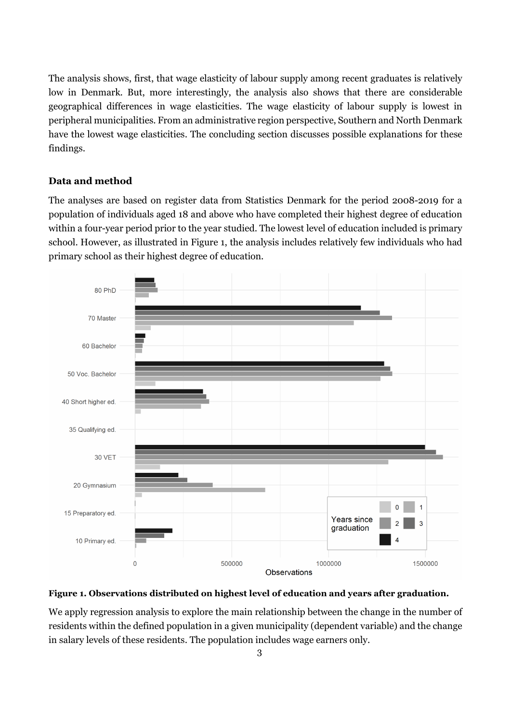The analysis shows, first, that wage elasticity of labour supply among recent graduates is relatively low in Denmark. But, more interestingly, the analysis also shows that there are considerable geographical differences in wage elasticities. The wage elasticity of labour supply is lowest in peripheral municipalities. From an administrative region perspective, Southern and North Denmark have the lowest wage elasticities. The concluding section discusses possible explanations for these findings.

#### **Data and method**

The analyses are based on register data from Statistics Denmark for the period 2008-2019 for a population of individuals aged 18 and above who have completed their highest degree of education within a four-year period prior to the year studied. The lowest level of education included is primary school. However, as illustrated in Figure 1, the analysis includes relatively few individuals who had primary school as their highest degree of education.



#### **Figure 1. Observations distributed on highest level of education and years after graduation.**

We apply regression analysis to explore the main relationship between the change in the number of residents within the defined population in a given municipality (dependent variable) and the change in salary levels of these residents. The population includes wage earners only.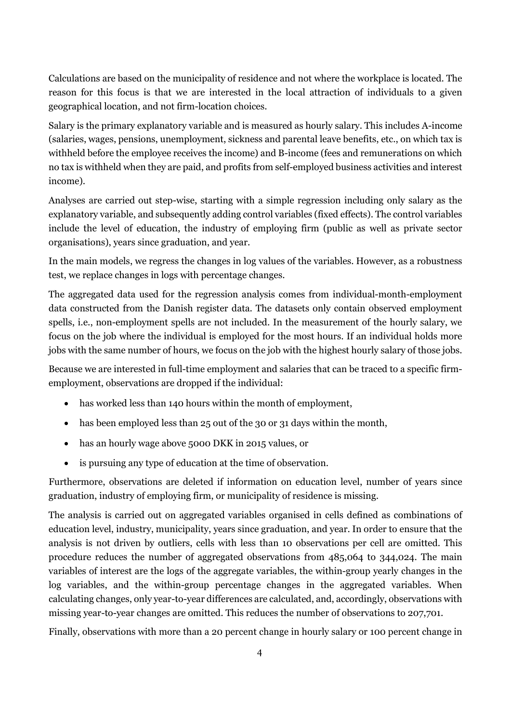Calculations are based on the municipality of residence and not where the workplace is located. The reason for this focus is that we are interested in the local attraction of individuals to a given geographical location, and not firm-location choices.

Salary is the primary explanatory variable and is measured as hourly salary. This includes A-income (salaries, wages, pensions, unemployment, sickness and parental leave benefits, etc., on which tax is withheld before the employee receives the income) and B-income (fees and remunerations on which no tax is withheld when they are paid, and profits from self-employed business activities and interest income).

Analyses are carried out step-wise, starting with a simple regression including only salary as the explanatory variable, and subsequently adding control variables (fixed effects). The control variables include the level of education, the industry of employing firm (public as well as private sector organisations), years since graduation, and year.

In the main models, we regress the changes in log values of the variables. However, as a robustness test, we replace changes in logs with percentage changes.

The aggregated data used for the regression analysis comes from individual-month-employment data constructed from the Danish register data. The datasets only contain observed employment spells, i.e., non-employment spells are not included. In the measurement of the hourly salary, we focus on the job where the individual is employed for the most hours. If an individual holds more jobs with the same number of hours, we focus on the job with the highest hourly salary of those jobs.

Because we are interested in full-time employment and salaries that can be traced to a specific firmemployment, observations are dropped if the individual:

- has worked less than 140 hours within the month of employment,
- has been employed less than 25 out of the 30 or 31 days within the month,
- has an hourly wage above 5000 DKK in 2015 values, or
- is pursuing any type of education at the time of observation.

Furthermore, observations are deleted if information on education level, number of years since graduation, industry of employing firm, or municipality of residence is missing.

The analysis is carried out on aggregated variables organised in cells defined as combinations of education level, industry, municipality, years since graduation, and year. In order to ensure that the analysis is not driven by outliers, cells with less than 10 observations per cell are omitted. This procedure reduces the number of aggregated observations from 485,064 to 344,024. The main variables of interest are the logs of the aggregate variables, the within-group yearly changes in the log variables, and the within-group percentage changes in the aggregated variables. When calculating changes, only year-to-year differences are calculated, and, accordingly, observations with missing year-to-year changes are omitted. This reduces the number of observations to 207,701.

Finally, observations with more than a 20 percent change in hourly salary or 100 percent change in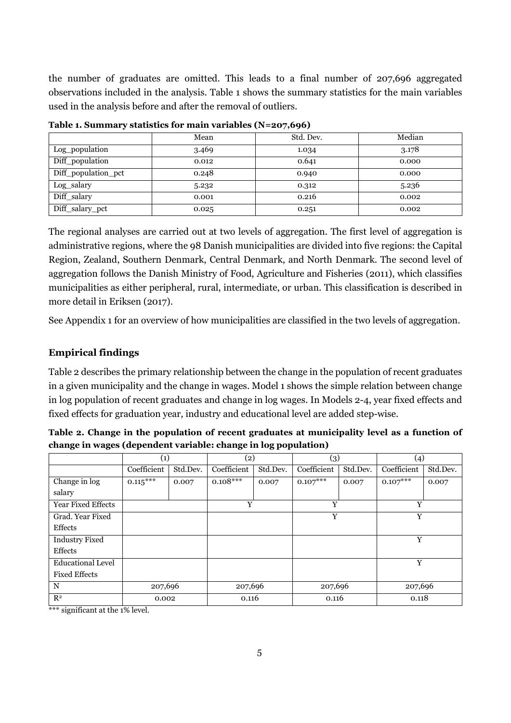the number of graduates are omitted. This leads to a final number of 207,696 aggregated observations included in the analysis. Table 1 shows the summary statistics for the main variables used in the analysis before and after the removal of outliers.

|                     | Mean  | Std. Dev. | Median |
|---------------------|-------|-----------|--------|
| Log_population      | 3.469 | 1.034     | 3.178  |
| Diff_population     | 0.012 | 0.641     | 0.000  |
| Diff_population_pct | 0.248 | 0.940     | 0.000  |
| Log_salary          | 5.232 | 0.312     | 5.236  |
| Diff_salary         | 0.001 | 0.216     | 0.002  |
| Diff_salary_pct     | 0.025 | 0.251     | 0.002  |

**Table 1. Summary statistics for main variables (N=207,696)**

The regional analyses are carried out at two levels of aggregation. The first level of aggregation is administrative regions, where the 98 Danish municipalities are divided into five regions: the Capital Region, Zealand, Southern Denmark, Central Denmark, and North Denmark. The second level of aggregation follows the Danish Ministry of Food, Agriculture and Fisheries (2011), which classifies municipalities as either peripheral, rural, intermediate, or urban. This classification is described in more detail in Eriksen (2017).

See Appendix 1 for an overview of how municipalities are classified in the two levels of aggregation.

### **Empirical findings**

Table 2 describes the primary relationship between the change in the population of recent graduates in a given municipality and the change in wages. Model 1 shows the simple relation between change in log population of recent graduates and change in log wages. In Models 2-4, year fixed effects and fixed effects for graduation year, industry and educational level are added step-wise.

| Table 2. Change in the population of recent graduates at municipality level as a function of |
|----------------------------------------------------------------------------------------------|
| change in wages (dependent variable: change in log population)                               |

|                           | (1)         |          | (2)         |          | (3)         |          | (4)         |          |
|---------------------------|-------------|----------|-------------|----------|-------------|----------|-------------|----------|
|                           | Coefficient | Std.Dev. | Coefficient | Std.Dev. | Coefficient | Std.Dev. | Coefficient | Std.Dev. |
| Change in log             | $0.115***$  | 0.007    | $0.108***$  | 0.007    | $0.107***$  | 0.007    | $0.107***$  | 0.007    |
| salary                    |             |          |             |          |             |          |             |          |
| <b>Year Fixed Effects</b> |             |          | Y           |          |             | Y<br>Y   |             |          |
| Grad. Year Fixed          |             |          |             |          | Y           |          | Y           |          |
| <b>Effects</b>            |             |          |             |          |             |          |             |          |
| <b>Industry Fixed</b>     |             |          |             |          |             |          | Y           |          |
| <b>Effects</b>            |             |          |             |          |             |          |             |          |
| <b>Educational Level</b>  |             |          |             |          |             |          | Y           |          |
| <b>Fixed Effects</b>      |             |          |             |          |             |          |             |          |
| $\mathbf N$               | 207,696     |          | 207,696     |          | 207,696     |          | 207,696     |          |
| R <sup>2</sup>            | 0.002       |          | 0.116       |          | 0.116       |          | 0.118       |          |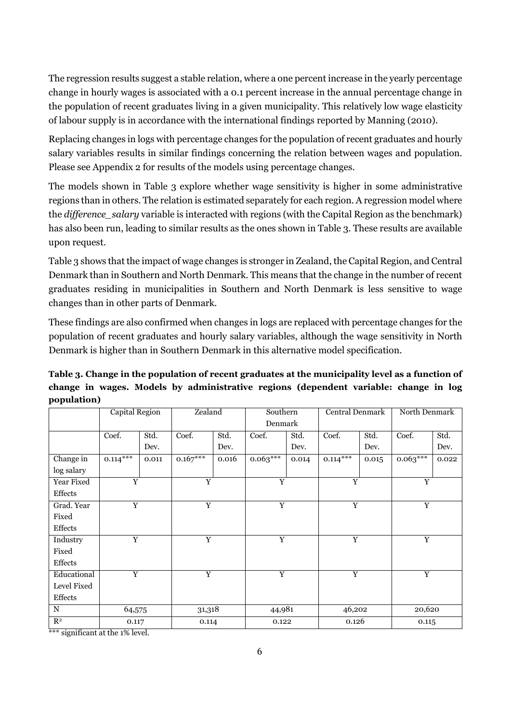The regression results suggest a stable relation, where a one percent increase in the yearly percentage change in hourly wages is associated with a 0.1 percent increase in the annual percentage change in the population of recent graduates living in a given municipality. This relatively low wage elasticity of labour supply is in accordance with the international findings reported by Manning (2010).

Replacing changes in logs with percentage changes for the population of recent graduates and hourly salary variables results in similar findings concerning the relation between wages and population. Please see Appendix 2 for results of the models using percentage changes.

The models shown in Table 3 explore whether wage sensitivity is higher in some administrative regions than in others. The relation is estimated separately for each region. A regression model where the *difference\_salary* variable is interacted with regions (with the Capital Region as the benchmark) has also been run, leading to similar results as the ones shown in Table 3. These results are available upon request.

Table 3 shows that the impact of wage changes is stronger in Zealand, the Capital Region, and Central Denmark than in Southern and North Denmark. This means that the change in the number of recent graduates residing in municipalities in Southern and North Denmark is less sensitive to wage changes than in other parts of Denmark.

These findings are also confirmed when changes in logs are replaced with percentage changes for the population of recent graduates and hourly salary variables, although the wage sensitivity in North Denmark is higher than in Southern Denmark in this alternative model specification.

|             |  |  | Table 3. Change in the population of recent graduates at the municipality level as a function of |  |  |  |
|-------------|--|--|--------------------------------------------------------------------------------------------------|--|--|--|
|             |  |  | change in wages. Models by administrative regions (dependent variable: change in log             |  |  |  |
| population) |  |  |                                                                                                  |  |  |  |

|                | Capital Region |       |                | Zealand |                | Southern | Central Denmark |                | North Denmark  |                |  |
|----------------|----------------|-------|----------------|---------|----------------|----------|-----------------|----------------|----------------|----------------|--|
|                |                |       |                |         | Denmark        |          |                 |                |                |                |  |
|                | Coef.          | Std.  | Coef.          | Std.    | Coef.          | Std.     | Coef.           | Std.           | Coef.          | Std.           |  |
|                |                | Dev.  |                | Dev.    |                | Dev.     |                 | Dev.           |                | Dev.           |  |
| Change in      | $0.114***$     | 0.011 | $0.167***$     | 0.016   | $0.063***$     | 0.014    | $0.114***$      | 0.015          | $0.063***$     | 0.022          |  |
| log salary     |                |       |                |         |                |          |                 |                |                |                |  |
| Year Fixed     | Y              |       | Y              |         | $\overline{Y}$ |          | $\overline{Y}$  |                | $\mathbf Y$    |                |  |
| Effects        |                |       |                |         |                |          |                 |                |                |                |  |
| Grad. Year     | $\overline{Y}$ |       | $\overline{Y}$ |         | $\overline{Y}$ |          |                 | $\overline{Y}$ |                | $\overline{Y}$ |  |
| Fixed          |                |       |                |         |                |          |                 |                |                |                |  |
| Effects        |                |       |                |         |                |          |                 |                |                |                |  |
| Industry       | Y              |       | Y              |         | Y              |          | Y               |                | $\mathbf Y$    |                |  |
| Fixed          |                |       |                |         |                |          |                 |                |                |                |  |
| Effects        |                |       |                |         |                |          |                 |                |                |                |  |
| Educational    | Y              |       | Y              |         | $\overline{Y}$ |          | $\overline{Y}$  |                | $\overline{Y}$ |                |  |
| Level Fixed    |                |       |                |         |                |          |                 |                |                |                |  |
| Effects        |                |       |                |         |                |          |                 |                |                |                |  |
| $\mathbf N$    | 64,575         |       | 31,318         |         | 44,981         |          | 46,202          |                | 20,620         |                |  |
| R <sup>2</sup> | 0.117          |       | 0.114          |         | 0.122          |          | 0.126           |                | 0.115          |                |  |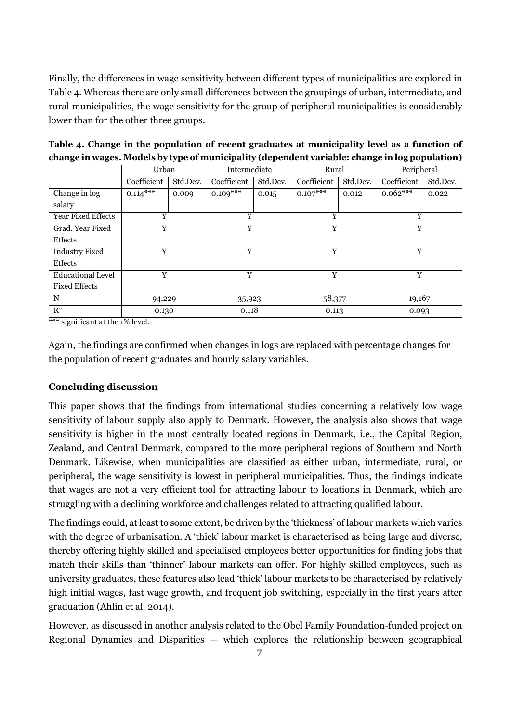Finally, the differences in wage sensitivity between different types of municipalities are explored in Table 4. Whereas there are only small differences between the groupings of urban, intermediate, and rural municipalities, the wage sensitivity for the group of peripheral municipalities is considerably lower than for the other three groups.

|                           | Urban       |          | Intermediate |          | Rural       |          | Peripheral  |          |
|---------------------------|-------------|----------|--------------|----------|-------------|----------|-------------|----------|
|                           | Coefficient | Std.Dev. | Coefficient  | Std.Dev. | Coefficient | Std.Dev. | Coefficient | Std.Dev. |
| Change in log             | $0.114***$  | 0.009    | $0.109***$   | 0.015    | $0.107***$  | 0.012    | $0.062***$  | 0.022    |
| salary                    |             |          |              |          |             |          |             |          |
| <b>Year Fixed Effects</b> | Y           |          | Y            |          | Y           |          | Y           |          |
| Grad. Year Fixed          | Y           |          | Y            |          | Y           |          | Y           |          |
| Effects                   |             |          |              |          |             |          |             |          |
| <b>Industry Fixed</b>     | v           |          | Y            |          | Y           |          | Y           |          |
| <b>Effects</b>            |             |          |              |          |             |          |             |          |
| <b>Educational Level</b>  | Y           |          |              | Y        | Y           |          | Y           |          |
| <b>Fixed Effects</b>      |             |          |              |          |             |          |             |          |
| N                         | 94,229      |          | 35,923       |          | 58,377      |          | 19,167      |          |
| R <sup>2</sup>            | 0.130       |          |              | 0.118    |             | 0.113    |             | 0.093    |
|                           |             |          |              |          |             |          |             |          |

**Table 4. Change in the population of recent graduates at municipality level as a function of change in wages. Models by type of municipality (dependent variable: change in log population)**

\*\*\* significant at the 1% level.

Again, the findings are confirmed when changes in logs are replaced with percentage changes for the population of recent graduates and hourly salary variables.

#### **Concluding discussion**

This paper shows that the findings from international studies concerning a relatively low wage sensitivity of labour supply also apply to Denmark. However, the analysis also shows that wage sensitivity is higher in the most centrally located regions in Denmark, i.e., the Capital Region, Zealand, and Central Denmark, compared to the more peripheral regions of Southern and North Denmark. Likewise, when municipalities are classified as either urban, intermediate, rural, or peripheral, the wage sensitivity is lowest in peripheral municipalities. Thus, the findings indicate that wages are not a very efficient tool for attracting labour to locations in Denmark, which are struggling with a declining workforce and challenges related to attracting qualified labour.

The findings could, at least to some extent, be driven by the 'thickness' of labour markets which varies with the degree of urbanisation. A 'thick' labour market is characterised as being large and diverse, thereby offering highly skilled and specialised employees better opportunities for finding jobs that match their skills than 'thinner' labour markets can offer. For highly skilled employees, such as university graduates, these features also lead 'thick' labour markets to be characterised by relatively high initial wages, fast wage growth, and frequent job switching, especially in the first years after graduation (Ahlin et al. 2014).

However, as discussed in another analysis related to the Obel Family Foundation-funded project on Regional Dynamics and Disparities — which explores the relationship between geographical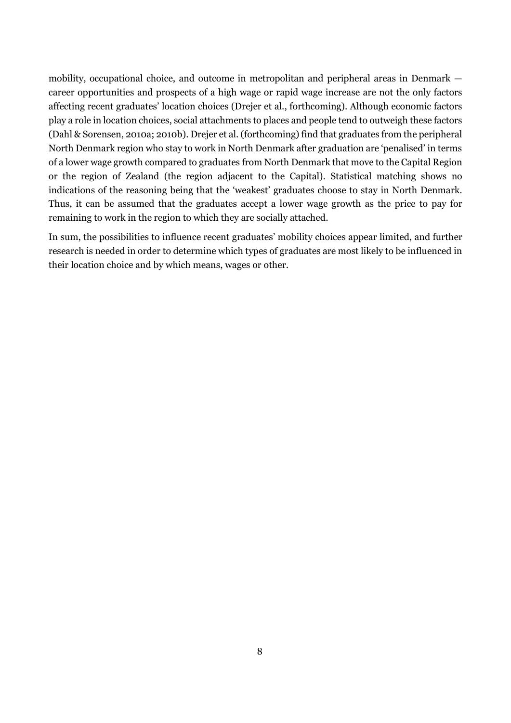mobility, occupational choice, and outcome in metropolitan and peripheral areas in Denmark career opportunities and prospects of a high wage or rapid wage increase are not the only factors affecting recent graduates' location choices (Drejer et al., forthcoming). Although economic factors play a role in location choices, social attachments to places and people tend to outweigh these factors (Dahl & Sorensen, 2010a; 2010b). Drejer et al. (forthcoming) find that graduates from the peripheral North Denmark region who stay to work in North Denmark after graduation are 'penalised' in terms of a lower wage growth compared to graduates from North Denmark that move to the Capital Region or the region of Zealand (the region adjacent to the Capital). Statistical matching shows no indications of the reasoning being that the 'weakest' graduates choose to stay in North Denmark. Thus, it can be assumed that the graduates accept a lower wage growth as the price to pay for remaining to work in the region to which they are socially attached.

In sum, the possibilities to influence recent graduates' mobility choices appear limited, and further research is needed in order to determine which types of graduates are most likely to be influenced in their location choice and by which means, wages or other.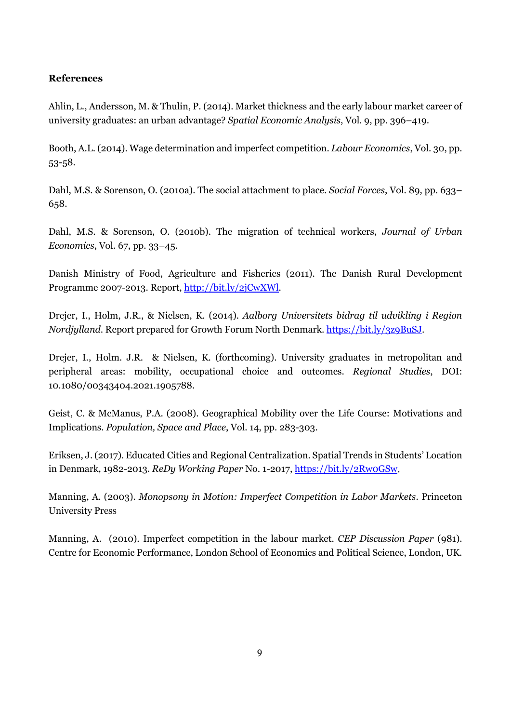### **References**

Ahlin, L., Andersson, M. & Thulin, P. (2014). Market thickness and the early labour market career of university graduates: an urban advantage? *Spatial Economic Analysis*, Vol. 9, pp. 396–419.

Booth, A.L. (2014). Wage determination and imperfect competition. *Labour Economics*, Vol. 30, pp. 53-58.

Dahl, M.S. & Sorenson, O. (2010a). The social attachment to place. *Social Forces*, Vol. 89, pp. 633– 658.

Dahl, M.S. & Sorenson, O. (2010b). The migration of technical workers, *Journal of Urban Economics*, Vol. 67, pp. 33–45.

Danish Ministry of Food, Agriculture and Fisheries (2011). The Danish Rural Development Programme 2007-2013. Report[, http://bit.ly/2jCwXWl.](http://bit.ly/2jCwXWl)

Drejer, I., Holm, J.R., & Nielsen, K. (2014). *Aalborg Universitets bidrag til udvikling i Region Nordjylland*. Report prepared for Growth Forum North Denmark. [https://bit.ly/3z9BuSJ.](https://bit.ly/3z9BuSJ)

Drejer, I., Holm. J.R. & Nielsen, K. (forthcoming). University graduates in metropolitan and peripheral areas: mobility, occupational choice and outcomes. *Regional Studies*, DOI: 10.1080/00343404.2021.1905788.

Geist, C. & McManus, P.A. (2008). Geographical Mobility over the Life Course: Motivations and Implications. *Population, Space and Place*, Vol. 14, pp. 283-303.

Eriksen, J. (2017). Educated Cities and Regional Centralization. Spatial Trends in Students' Location in Denmark, 1982-2013. *ReDy Working Paper* No. 1-2017, [https://bit.ly/2Rw0GSw.](https://bit.ly/2Rw0GSw)

Manning, A. (2003). *Monopsony in Motion: Imperfect Competition in Labor Markets*. Princeton University Press

Manning, A. (2010). Imperfect competition in the labour market. *CEP Discussion Paper* (981). Centre for Economic Performance, London School of Economics and Political Science, London, UK.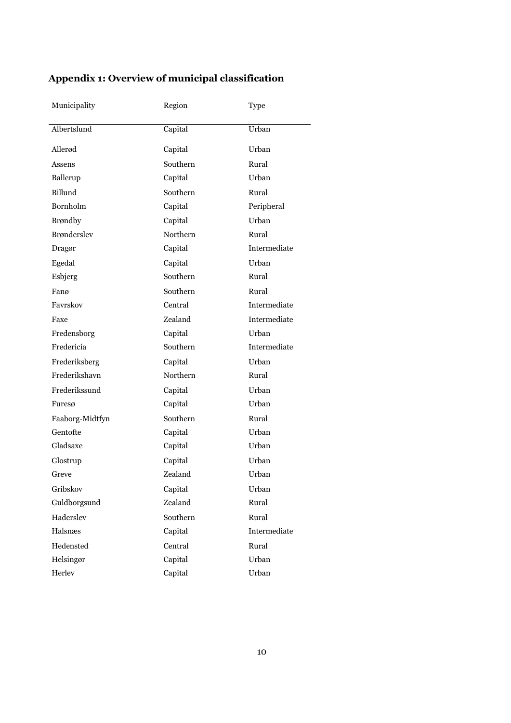| Municipality       | Region   | Type         |
|--------------------|----------|--------------|
|                    |          |              |
| Albertslund        | Capital  | Urban        |
| Allerød            | Capital  | Urban        |
| Assens             | Southern | Rural        |
| Ballerup           | Capital  | Urban        |
| Billund            | Southern | Rural        |
| Bornholm           | Capital  | Peripheral   |
| <b>Brøndby</b>     | Capital  | Urban        |
| <b>Brønderslev</b> | Northern | Rural        |
| Dragør             | Capital  | Intermediate |
| Egedal             | Capital  | Urban        |
| Esbjerg            | Southern | Rural        |
| Fanø               | Southern | Rural        |
| Favrskov           | Central  | Intermediate |
| Faxe               | Zealand  | Intermediate |
| Fredensborg        | Capital  | Urban        |
| Fredericia         | Southern | Intermediate |
| Frederiksberg      | Capital  | Urban        |
| Frederikshavn      | Northern | Rural        |
| Frederikssund      | Capital  | Urban        |
| Furesø             | Capital  | Urban        |
| Faaborg-Midtfyn    | Southern | Rural        |
| Gentofte           | Capital  | Urban        |
| Gladsaxe           | Capital  | Urban        |
| Glostrup           | Capital  | Urban        |
| Greve              | Zealand  | Urban        |
| Gribskov           | Capital  | Urban        |
| Guldborgsund       | Zealand  | Rural        |
| Haderslev          | Southern | Rural        |
| Halsnæs            | Capital  | Intermediate |
| Hedensted          | Central  | Rural        |
| Helsingør          | Capital  | Urban        |
| Herlev             | Capital  | Urban        |

# **Appendix 1: Overview of municipal classification**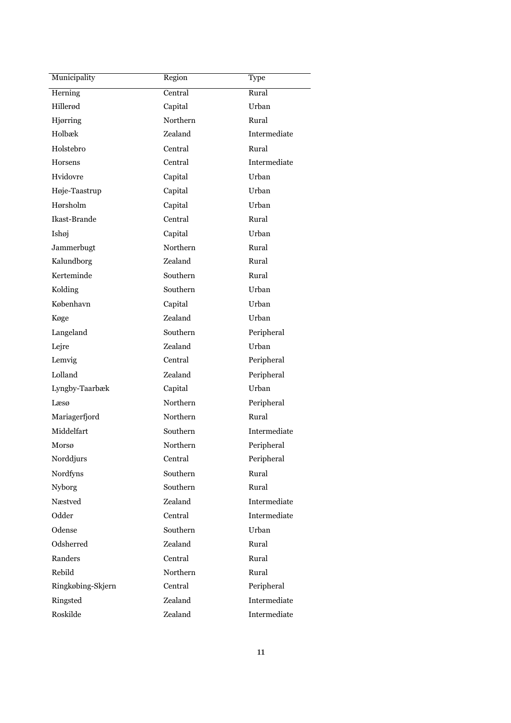| Municipality      | Region   | Type         |
|-------------------|----------|--------------|
| Herning           | Central  | Rural        |
| Hillerød          | Capital  | Urban        |
| Hjørring          | Northern | Rural        |
| Holbæk            | Zealand  | Intermediate |
| Holstebro         | Central  | Rural        |
| Horsens           | Central  | Intermediate |
| Hvidovre          | Capital  | Urban        |
| Høje-Taastrup     | Capital  | Urban        |
| Hørsholm          | Capital  | Urban        |
| Ikast-Brande      | Central  | Rural        |
| Ishøj             | Capital  | Urban        |
| Jammerbugt        | Northern | Rural        |
| Kalundborg        | Zealand  | Rural        |
| Kerteminde        | Southern | Rural        |
| Kolding           | Southern | Urban        |
| København         | Capital  | Urban        |
| Køge              | Zealand  | Urban        |
| Langeland         | Southern | Peripheral   |
| Lejre             | Zealand  | Urban        |
| Lemvig            | Central  | Peripheral   |
| Lolland           | Zealand  | Peripheral   |
| Lyngby-Taarbæk    | Capital  | Urban        |
| Læsø              | Northern | Peripheral   |
| Mariagerfjord     | Northern | Rural        |
| Middelfart        | Southern | Intermediate |
| Morsø             | Northern | Peripheral   |
| Norddjurs         | Central  | Peripheral   |
| Nordfyns          | Southern | Rural        |
| <b>Nyborg</b>     | Southern | Rural        |
| Næstved           | Zealand  | Intermediate |
| Odder             | Central  | Intermediate |
| Odense            | Southern | Urban        |
| Odsherred         | Zealand  | Rural        |
| Randers           | Central  | Rural        |
| Rebild            | Northern | Rural        |
| Ringkøbing-Skjern | Central  | Peripheral   |
| Ringsted          | Zealand  | Intermediate |
| Roskilde          | Zealand  | Intermediate |
|                   |          |              |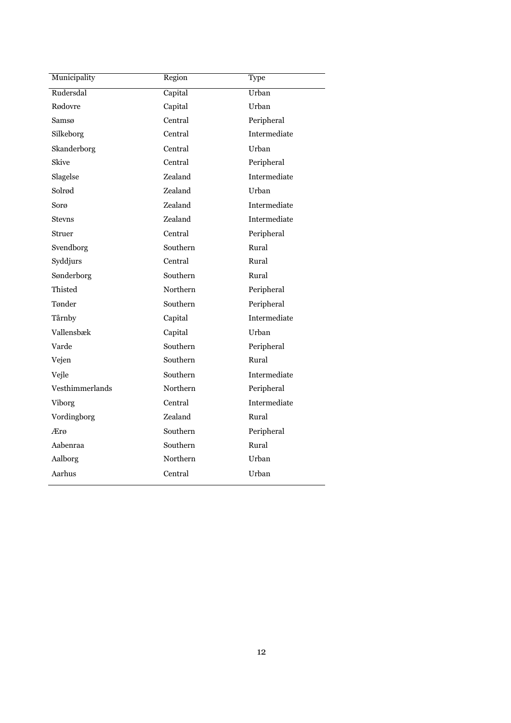| Municipality    | Region   | Type         |
|-----------------|----------|--------------|
| Rudersdal       | Capital  | Urban        |
| Rødovre         | Capital  | Urban        |
| Samsø           | Central  | Peripheral   |
| Silkeborg       | Central  | Intermediate |
| Skanderborg     | Central  | Urban        |
| Skive           | Central  | Peripheral   |
| Slagelse        | Zealand  | Intermediate |
| Solrød          | Zealand  | Urban        |
| Sorø            | Zealand  | Intermediate |
| <b>Stevns</b>   | Zealand  | Intermediate |
| Struer          | Central  | Peripheral   |
| Svendborg       | Southern | Rural        |
| Syddjurs        | Central  | Rural        |
| Sønderborg      | Southern | Rural        |
| Thisted         | Northern | Peripheral   |
| Tønder          | Southern | Peripheral   |
| Tårnby          | Capital  | Intermediate |
| Vallensbæk      | Capital  | Urban        |
| Varde           | Southern | Peripheral   |
| Vejen           | Southern | Rural        |
| Vejle           | Southern | Intermediate |
| Vesthimmerlands | Northern | Peripheral   |
| <b>Viborg</b>   | Central  | Intermediate |
| Vordingborg     | Zealand  | Rural        |
| Ærø             | Southern | Peripheral   |
| Aabenraa        | Southern | Rural        |
| Aalborg         | Northern | Urban        |
| Aarhus          | Central  | Urban        |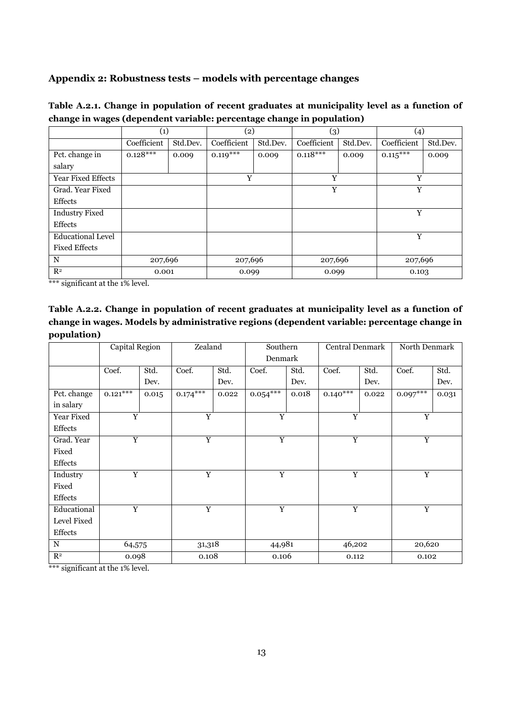# **Appendix 2: Robustness tests – models with percentage changes**

| Table A.2.1. Change in population of recent graduates at municipality level as a function of |  |  |
|----------------------------------------------------------------------------------------------|--|--|
| change in wages (dependent variable: percentage change in population)                        |  |  |

|                           | (1)         |          | (2)         |          | (3)         |          | $\left( 4\right)$ |          |
|---------------------------|-------------|----------|-------------|----------|-------------|----------|-------------------|----------|
|                           | Coefficient | Std.Dev. | Coefficient | Std.Dev. | Coefficient | Std.Dev. | Coefficient       | Std.Dev. |
| Pct. change in            | $0.128***$  | 0.009    | $0.119***$  | 0.009    | $0.118***$  | 0.009    | $0.115***$        | 0.009    |
| salary                    |             |          |             |          |             |          |                   |          |
| <b>Year Fixed Effects</b> |             |          | Y           |          | Y           |          | Y                 |          |
| Grad. Year Fixed          |             |          |             |          | Y           |          | Y                 |          |
| <b>Effects</b>            |             |          |             |          |             |          |                   |          |
| <b>Industry Fixed</b>     |             |          |             |          |             |          | Y                 |          |
| Effects                   |             |          |             |          |             |          |                   |          |
| <b>Educational Level</b>  |             |          |             |          |             |          | Y                 |          |
| Fixed Effects             |             |          |             |          |             |          |                   |          |
| N                         | 207,696     |          | 207,696     |          | 207,696     |          | 207,696           |          |
| $\mathbb{R}^2$            | 0.001       |          | 0.099       |          | 0.099       |          | 0.103             |          |

\*\*\* significant at the 1% level.

| Table A.2.2. Change in population of recent graduates at municipality level as a function of |
|----------------------------------------------------------------------------------------------|
| change in wages. Models by administrative regions (dependent variable: percentage change in  |
| population)                                                                                  |

|                | Capital Region |       | Zealand        |       | Southern<br>Denmark |       | <b>Central Denmark</b> |       | North Denmark  |       |
|----------------|----------------|-------|----------------|-------|---------------------|-------|------------------------|-------|----------------|-------|
|                |                |       |                |       |                     |       |                        |       |                |       |
|                | Coef.          | Std.  | Coef.          | Std.  | Coef.               | Std.  | Coef.                  | Std.  | Coef.          | Std.  |
|                |                | Dev.  |                | Dev.  |                     | Dev.  |                        | Dev.  |                | Dev.  |
| Pct. change    | $0.121***$     | 0.015 | $0.174***$     | 0.022 | $0.054***$          | 0.018 | $0.140***$             | 0.022 | $0.097***$     | 0.031 |
| in salary      |                |       |                |       |                     |       |                        |       |                |       |
| Year Fixed     | Y              |       | $\overline{Y}$ |       | $\overline{Y}$      |       | $\overline{Y}$         |       | $\overline{Y}$ |       |
| Effects        |                |       |                |       |                     |       |                        |       |                |       |
| Grad. Year     | $\overline{Y}$ |       | $\overline{Y}$ |       | Y                   |       | Y                      |       | $\mathbf Y$    |       |
| Fixed          |                |       |                |       |                     |       |                        |       |                |       |
| Effects        |                |       |                |       |                     |       |                        |       |                |       |
| Industry       | Y              |       | Y              |       | Y                   |       | Y                      |       | Y              |       |
| Fixed          |                |       |                |       |                     |       |                        |       |                |       |
| Effects        |                |       |                |       |                     |       |                        |       |                |       |
| Educational    | $\overline{Y}$ |       | $\overline{Y}$ |       | $\overline{Y}$      |       | $\overline{Y}$         |       | $\mathbf Y$    |       |
| Level Fixed    |                |       |                |       |                     |       |                        |       |                |       |
| Effects        |                |       |                |       |                     |       |                        |       |                |       |
| $_{\rm N}$     | 64,575         |       | 31,318         |       | 44,981              |       | 46,202                 |       | 20,620         |       |
| $\mathbb{R}^2$ | 0.098          |       | 0.108          |       | 0.106               |       | 0.112                  |       | 0.102          |       |